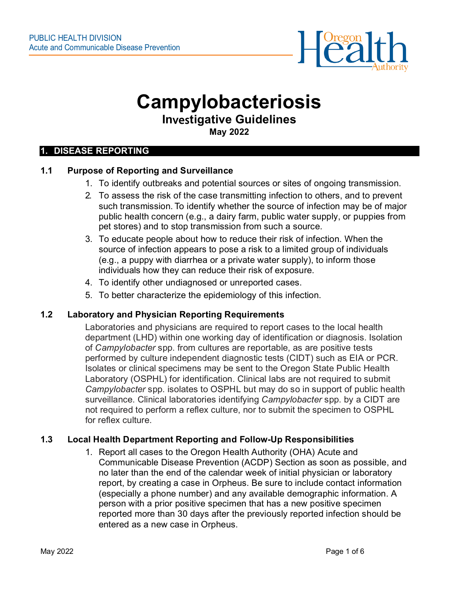

# **Campylobacteriosis**

# **In**ves**tigative Guidelines**

**May 2022**

#### **1. DISEASE REPORTING**

# **1.1 Purpose of Reporting and Surveillance**

- 1. To identify outbreaks and potential sources or sites of ongoing transmission.
- 2. To assess the risk of the case transmitting infection to others, and to prevent such transmission. To identify whether the source of infection may be of major public health concern (e.g., a dairy farm, public water supply, or puppies from pet stores) and to stop transmission from such a source.
- 3. To educate people about how to reduce their risk of infection. When the source of infection appears to pose a risk to a limited group of individuals (e.g., a puppy with diarrhea or a private water supply), to inform those individuals how they can reduce their risk of exposure.
- 4. To identify other undiagnosed or unreported cases.
- 5. To better characterize the epidemiology of this infection.

#### **1.2 Laboratory and Physician Reporting Requirements**

Laboratories and physicians are required to report cases to the local health department (LHD) within one working day of identification or diagnosis. Isolation of *Campylobacter* spp. from cultures are reportable, as are positive tests performed by culture independent diagnostic tests (CIDT) such as EIA or PCR. Isolates or clinical specimens may be sent to the Oregon State Public Health Laboratory (OSPHL) for identification. Clinical labs are not required to submit *Campylobacter* spp. isolates to OSPHL but may do so in support of public health surveillance. Clinical laboratories identifying *Campylobacter* spp. by a CIDT are not required to perform a reflex culture, nor to submit the specimen to OSPHL for reflex culture.

#### **1.3 Local Health Department Reporting and Follow-Up Responsibilities**

1. Report all cases to the Oregon Health Authority (OHA) Acute and Communicable Disease Prevention (ACDP) Section as soon as possible, and no later than the end of the calendar week of initial physician or laboratory report, by creating a case in Orpheus. Be sure to include contact information (especially a phone number) and any available demographic information. A person with a prior positive specimen that has a new positive specimen reported more than 30 days after the previously reported infection should be entered as a new case in Orpheus.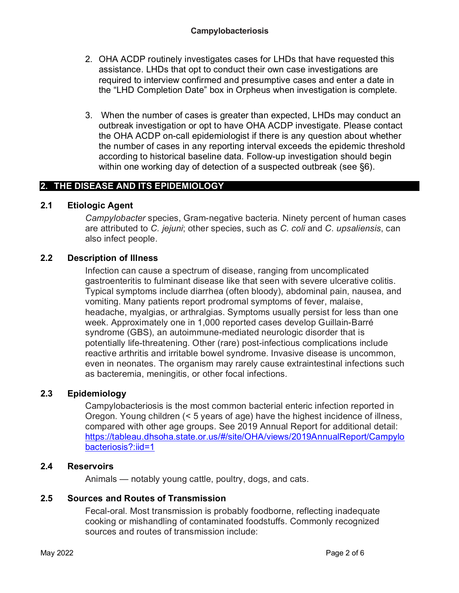- 2. OHA ACDP routinely investigates cases for LHDs that have requested this assistance. LHDs that opt to conduct their own case investigations are required to interview confirmed and presumptive cases and enter a date in the "LHD Completion Date" box in Orpheus when investigation is complete.
- 3. When the number of cases is greater than expected, LHDs may conduct an outbreak investigation or opt to have OHA ACDP investigate. Please contact the OHA ACDP on-call epidemiologist if there is any question about whether the number of cases in any reporting interval exceeds the epidemic threshold according to historical baseline data. Follow-up investigation should begin within one working day of detection of a suspected outbreak (see §6).

# **2. THE DISEASE AND ITS EPIDEMIOLOGY**

#### **2.1 Etiologic Agent**

*Campylobacter* species, Gram-negative bacteria. Ninety percent of human cases are attributed to *C. jejuni*; other species, such as *C. coli* and *C. upsaliensis*, can also infect people.

#### **2.2 Description of Illness**

Infection can cause a spectrum of disease, ranging from uncomplicated gastroenteritis to fulminant disease like that seen with severe ulcerative colitis. Typical symptoms include diarrhea (often bloody), abdominal pain, nausea, and vomiting. Many patients report prodromal symptoms of fever, malaise, headache, myalgias, or arthralgias. Symptoms usually persist for less than one week. Approximately one in 1,000 reported cases develop Guillain-Barré syndrome (GBS), an autoimmune-mediated neurologic disorder that is potentially life-threatening. Other (rare) post-infectious complications include reactive arthritis and irritable bowel syndrome. Invasive disease is uncommon, even in neonates. The organism may rarely cause extraintestinal infections such as bacteremia, meningitis, or other focal infections.

# **2.3 Epidemiology**

Campylobacteriosis is the most common bacterial enteric infection reported in Oregon. Young children (< 5 years of age) have the highest incidence of illness, compared with other age groups. See 2019 Annual Report for additional detail: [https://tableau.dhsoha.state.or.us/#/site/OHA/views/2019AnnualReport/Campylo](https://tableau.dhsoha.state.or.us/#/site/OHA/views/2019AnnualReport/Campylobacteriosis?:iid=1) [bacteriosis?:iid=1](https://tableau.dhsoha.state.or.us/#/site/OHA/views/2019AnnualReport/Campylobacteriosis?:iid=1)

#### **2.4 Reservoirs**

Animals — notably young cattle, poultry, dogs, and cats.

#### **2.5 Sources and Routes of Transmission**

Fecal-oral. Most transmission is probably foodborne, reflecting inadequate cooking or mishandling of contaminated foodstuffs. Commonly recognized sources and routes of transmission include: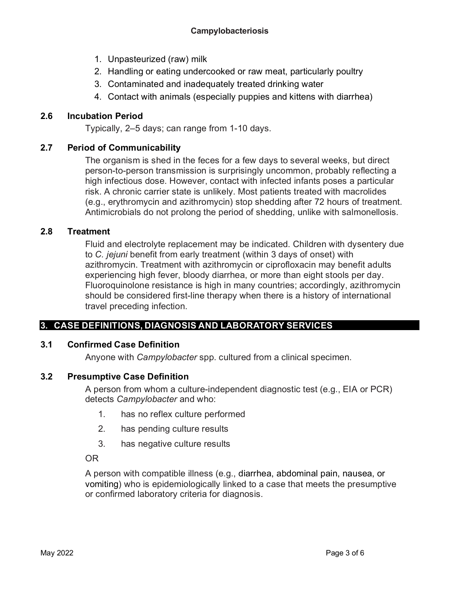- 1. Unpasteurized (raw) milk
- 2. Handling or eating undercooked or raw meat, particularly poultry
- 3. Contaminated and inadequately treated drinking water
- 4. Contact with animals (especially puppies and kittens with diarrhea)

# **2.6 Incubation Period**

Typically, 2–5 days; can range from 1-10 days.

#### **2.7 Period of Communicability**

The organism is shed in the feces for a few days to several weeks, but direct person-to-person transmission is surprisingly uncommon, probably reflecting a high infectious dose. However, contact with infected infants poses a particular risk. A chronic carrier state is unlikely. Most patients treated with macrolides (e.g., erythromycin and azithromycin) stop shedding after 72 hours of treatment. Antimicrobials do not prolong the period of shedding, unlike with salmonellosis.

#### **2.8 Treatment**

Fluid and electrolyte replacement may be indicated. Children with dysentery due to *C. jejuni* benefit from early treatment (within 3 days of onset) with azithromycin. Treatment with azithromycin or ciprofloxacin may benefit adults experiencing high fever, bloody diarrhea, or more than eight stools per day. Fluoroquinolone resistance is high in many countries; accordingly, azithromycin should be considered first-line therapy when there is a history of international travel preceding infection.

# **3. CASE DEFINITIONS, DIAGNOSIS AND LABORATORY SERVICES**

# **3.1 Confirmed Case Definition**

Anyone with *Campylobacter* spp. cultured from a clinical specimen.

# **3.2 Presumptive Case Definition**

A person from whom a culture-independent diagnostic test (e.g., EIA or PCR) detects *Campylobacter* and who:

- 1. has no reflex culture performed
- 2. has pending culture results
- 3. has negative culture results

OR

A person with compatible illness (e.g., diarrhea, abdominal pain, nausea, or vomiting) who is epidemiologically linked to a case that meets the presumptive or confirmed laboratory criteria for diagnosis.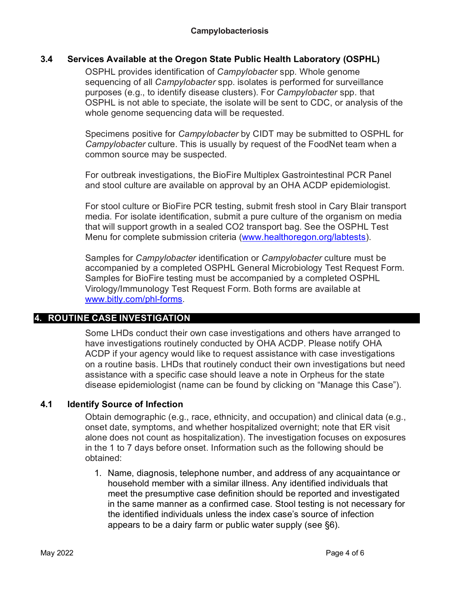#### **3.4 Services Available at the Oregon State Public Health Laboratory (OSPHL)**

OSPHL provides identification of *Campylobacter* spp. Whole genome sequencing of all *Campylobacter* spp. isolates is performed for surveillance purposes (e.g., to identify disease clusters). For *Campylobacter* spp. that OSPHL is not able to speciate, the isolate will be sent to CDC, or analysis of the whole genome sequencing data will be requested.

Specimens positive for *Campylobacter* by CIDT may be submitted to OSPHL for *Campylobacter* culture. This is usually by request of the FoodNet team when a common source may be suspected.

For outbreak investigations, the BioFire Multiplex Gastrointestinal PCR Panel and stool culture are available on approval by an OHA ACDP epidemiologist.

For stool culture or BioFire PCR testing, submit fresh stool in Cary Blair transport media. For isolate identification, submit a pure culture of the organism on media that will support growth in a sealed CO2 transport bag. See the OSPHL Test Menu for complete submission criteria [\(www.healthoregon.org/labtests\)](http://www.healthoregon.org/labtests).

Samples for *Campylobacter* identification or *Campylobacter* culture must be accompanied by a completed OSPHL General Microbiology Test Request Form. Samples for BioFire testing must be accompanied by a completed OSPHL Virology/Immunology Test Request Form. Both forms are available at [www.bitly.com/phl-forms.](http://www.bitly.com/phl-forms)

# **4. ROUTINE CASE INVESTIGATION**

Some LHDs conduct their own case investigations and others have arranged to have investigations routinely conducted by OHA ACDP. Please notify OHA ACDP if your agency would like to request assistance with case investigations on a routine basis. LHDs that routinely conduct their own investigations but need assistance with a specific case should leave a note in Orpheus for the state disease epidemiologist (name can be found by clicking on "Manage this Case").

# **4.1 Identify Source of Infection**

Obtain demographic (e.g., race, ethnicity, and occupation) and clinical data (e.g., onset date, symptoms, and whether hospitalized overnight; note that ER visit alone does not count as hospitalization). The investigation focuses on exposures in the 1 to 7 days before onset. Information such as the following should be obtained:

1. Name, diagnosis, telephone number, and address of any acquaintance or household member with a similar illness. Any identified individuals that meet the presumptive case definition should be reported and investigated in the same manner as a confirmed case. Stool testing is not necessary for the identified individuals unless the index case's source of infection appears to be a dairy farm or public water supply (see §6).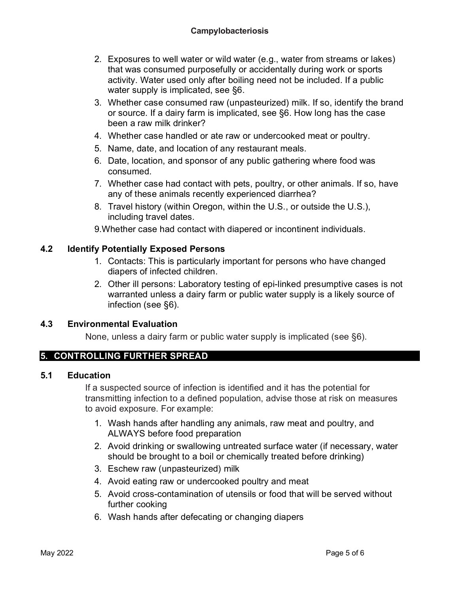- 2. Exposures to well water or wild water (e.g., water from streams or lakes) that was consumed purposefully or accidentally during work or sports activity. Water used only after boiling need not be included. If a public water supply is implicated, see §6.
- 3. Whether case consumed raw (unpasteurized) milk. If so, identify the brand or source. If a dairy farm is implicated, see §6. How long has the case been a raw milk drinker?
- 4. Whether case handled or ate raw or undercooked meat or poultry.
- 5. Name, date, and location of any restaurant meals.
- 6. Date, location, and sponsor of any public gathering where food was consumed.
- 7. Whether case had contact with pets, poultry, or other animals. If so, have any of these animals recently experienced diarrhea?
- 8. Travel history (within Oregon, within the U.S., or outside the U.S.), including travel dates.

9.Whether case had contact with diapered or incontinent individuals.

# **4.2 Identify Potentially Exposed Persons**

- 1. Contacts: This is particularly important for persons who have changed diapers of infected children.
- 2. Other ill persons: Laboratory testing of epi-linked presumptive cases is not warranted unless a dairy farm or public water supply is a likely source of infection (see §6).

# **4.3 Environmental Evaluation**

None, unless a dairy farm or public water supply is implicated (see §6).

# **5. CONTROLLING FURTHER SPREAD**

#### **5.1 Education**

If a suspected source of infection is identified and it has the potential for transmitting infection to a defined population, advise those at risk on measures to avoid exposure. For example:

- 1. Wash hands after handling any animals, raw meat and poultry, and ALWAYS before food preparation
- 2. Avoid drinking or swallowing untreated surface water (if necessary, water should be brought to a boil or chemically treated before drinking)
- 3. Eschew raw (unpasteurized) milk
- 4. Avoid eating raw or undercooked poultry and meat
- 5. Avoid cross-contamination of utensils or food that will be served without further cooking
- 6. Wash hands after defecating or changing diapers